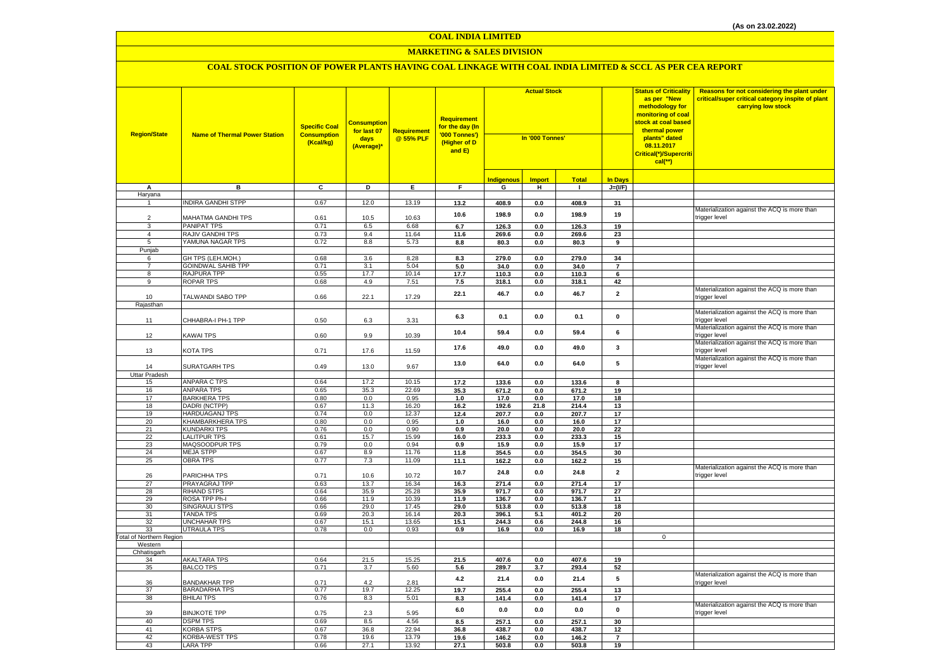#### **MARKETING & SALES DIVISION**

| <b>Region/State</b>             | <b>Name of Thermal Power Station</b>   | <b>Specific Coal</b><br><b>Consumption</b><br>(Kcal/kg) | <b>Consumption</b><br>for last 07<br>days<br>(Average)* | Requirement<br>@ 55% PLF | <b>Requirement</b><br>for the day (In<br>'000 Tonnes')<br>(Higher of D<br>and E) | <b>Actual Stock</b><br>In '000 Tonnes' |               |                | <b>Status of Criticality</b><br>as per "New<br>methodology for<br>monitoring of coal<br>stock at coal based<br>thermal power<br>plants" dated<br>08.11.2017<br><mark>Critical(*)/Supercriti</mark><br>$cal$ (**) | Reasons for not considering the plant under<br>critical/super critical category inspite of plant<br>carrying low stock |                                              |
|---------------------------------|----------------------------------------|---------------------------------------------------------|---------------------------------------------------------|--------------------------|----------------------------------------------------------------------------------|----------------------------------------|---------------|----------------|------------------------------------------------------------------------------------------------------------------------------------------------------------------------------------------------------------------|------------------------------------------------------------------------------------------------------------------------|----------------------------------------------|
|                                 |                                        |                                                         |                                                         |                          |                                                                                  | <b>Indigenous</b>                      | <b>Import</b> | <b>Total</b>   | <b>In Days</b>                                                                                                                                                                                                   |                                                                                                                        |                                              |
| А                               | в                                      | $\overline{c}$                                          | Þ                                                       | E                        | F                                                                                | G                                      | н             | $\mathbf{I}$   | $J=(VF)$                                                                                                                                                                                                         |                                                                                                                        |                                              |
| Haryana                         |                                        |                                                         |                                                         |                          |                                                                                  |                                        |               |                |                                                                                                                                                                                                                  |                                                                                                                        |                                              |
|                                 | <b>INDIRA GANDHI STPP</b>              | 0.67                                                    | 12.0                                                    | 13.19                    | 13.2                                                                             | 408.9                                  | $0.0\,$       | 408.9          | 31                                                                                                                                                                                                               |                                                                                                                        |                                              |
|                                 |                                        |                                                         |                                                         |                          | 10.6                                                                             | 198.9                                  | $0.0\,$       | 198.9          | 19                                                                                                                                                                                                               |                                                                                                                        | Materialization against the ACQ is more than |
| 2                               | MAHATMA GANDHI TPS                     | 0.61                                                    | 10.5                                                    | 10.63                    |                                                                                  |                                        |               |                |                                                                                                                                                                                                                  |                                                                                                                        | trigger level                                |
| 3                               | <b>PANIPAT TPS</b>                     | 0.71                                                    | 6.5                                                     | 6.68                     | 6.7                                                                              | 126.3                                  | 0.0           | 126.3          | 19                                                                                                                                                                                                               |                                                                                                                        |                                              |
| $\overline{4}$                  | RAJIV GANDHI TPS                       | 0.73                                                    | 9.4                                                     | 11.64                    | 11.6                                                                             | 269.6                                  | 0.0           | 269.6          | 23                                                                                                                                                                                                               |                                                                                                                        |                                              |
| 5                               | YAMUNA NAGAR TPS                       | 0.72                                                    | 8.8                                                     | 5.73                     | 8.8                                                                              | 80.3                                   | $0.0\,$       | 80.3           | 9                                                                                                                                                                                                                |                                                                                                                        |                                              |
| Punjab                          |                                        |                                                         |                                                         |                          |                                                                                  |                                        |               |                |                                                                                                                                                                                                                  |                                                                                                                        |                                              |
| 6                               | GH TPS (LEH.MOH.)                      | 0.68                                                    | 3.6                                                     | 8.28                     | 8.3                                                                              | 279.0                                  | 0.0           | 279.0          | 34                                                                                                                                                                                                               |                                                                                                                        |                                              |
| $\overline{7}$                  | <b>GOINDWAL SAHIB TPP</b>              | 0.71                                                    | 3.1                                                     | 5.04                     | 5.0                                                                              | 34.0                                   | 0.0           | 34.0           | $\overline{7}$                                                                                                                                                                                                   |                                                                                                                        |                                              |
| 8                               | RAJPURA TPP                            | 0.55                                                    | 17.7                                                    | 10.14                    | 17.7                                                                             | 110.3                                  | 0.0           | 110.3          | 6                                                                                                                                                                                                                |                                                                                                                        |                                              |
| 9                               | <b>ROPAR TPS</b>                       | 0.68                                                    | 4.9                                                     | 7.51                     | 7.5                                                                              | 318.1                                  | 0.0           | 318.1          | 42                                                                                                                                                                                                               |                                                                                                                        |                                              |
| 10                              |                                        | 0.66                                                    | 22.1                                                    | 17.29                    | 22.1                                                                             | 46.7                                   | 0.0           | 46.7           | $\overline{2}$                                                                                                                                                                                                   |                                                                                                                        | Materialization against the ACQ is more than |
| Rajasthan                       | TALWANDI SABO TPP                      |                                                         |                                                         |                          |                                                                                  |                                        |               |                |                                                                                                                                                                                                                  |                                                                                                                        | trigger level                                |
|                                 |                                        |                                                         |                                                         |                          |                                                                                  |                                        |               |                |                                                                                                                                                                                                                  |                                                                                                                        | Materialization against the ACQ is more than |
| 11                              | CHHABRA-I PH-1 TPP                     | 0.50                                                    | 6.3                                                     | 3.31                     | 6.3                                                                              | 0.1                                    | $0.0\,$       | 0.1            | $\pmb{0}$                                                                                                                                                                                                        |                                                                                                                        | trigger level                                |
|                                 |                                        |                                                         |                                                         |                          |                                                                                  |                                        |               |                |                                                                                                                                                                                                                  |                                                                                                                        | Materialization against the ACQ is more than |
| 12                              | <b>KAWAI TPS</b>                       | 0.60                                                    | 9.9                                                     | 10.39                    | 10.4                                                                             | 59.4                                   | 0.0           | 59.4           | 6                                                                                                                                                                                                                |                                                                                                                        | trigger level                                |
|                                 |                                        |                                                         |                                                         |                          |                                                                                  |                                        |               |                |                                                                                                                                                                                                                  |                                                                                                                        | Materialization against the ACQ is more than |
| 13                              | KOTA TPS                               | 0.71                                                    | 17.6                                                    | 11.59                    | 17.6                                                                             | 49.0                                   | 0.0           | 49.0           | $\overline{\mathbf{3}}$                                                                                                                                                                                          |                                                                                                                        | trigger level                                |
|                                 |                                        |                                                         |                                                         |                          |                                                                                  |                                        |               |                |                                                                                                                                                                                                                  |                                                                                                                        | Materialization against the ACQ is more than |
| 14                              | <b>SURATGARH TPS</b>                   | 0.49                                                    | 13.0                                                    | 9.67                     | 13.0                                                                             | 64.0                                   | 0.0           | 64.0           | 5                                                                                                                                                                                                                |                                                                                                                        | trigger level                                |
| Uttar Pradesh                   |                                        |                                                         |                                                         |                          |                                                                                  |                                        |               |                |                                                                                                                                                                                                                  |                                                                                                                        |                                              |
| 15                              | ANPARA C TPS                           | 0.64                                                    | 17.2                                                    | 10.15                    | 17.2                                                                             | 133.6                                  | 0.0           | 133.6          | 8                                                                                                                                                                                                                |                                                                                                                        |                                              |
| 16                              | <b>ANPARA TPS</b>                      | 0.65                                                    | 35.3                                                    | 22.69                    | 35.3                                                                             | 671.2                                  | $0.0\,$       | 671.2          | 19                                                                                                                                                                                                               |                                                                                                                        |                                              |
| 17                              | <b>BARKHERA TPS</b>                    | 0.80                                                    | 0.0                                                     | 0.95                     | 1.0                                                                              | 17.0                                   | 0.0           | 17.0           | 18                                                                                                                                                                                                               |                                                                                                                        |                                              |
| 18                              | DADRI (NCTPP)                          | 0.67                                                    | 11.3                                                    | 16.20                    | 16.2                                                                             | 192.6                                  | 21.8          | 214.4          | 13                                                                                                                                                                                                               |                                                                                                                        |                                              |
| 19                              | <b>HARDUAGANJ TPS</b>                  | 0.74                                                    | 0.0                                                     | 12.37                    | 12.4                                                                             | 207.7                                  | 0.0           | 207.7          | 17                                                                                                                                                                                                               |                                                                                                                        |                                              |
| 20                              | KHAMBARKHERA TPS                       | 0.80                                                    | 0.0                                                     | 0.95                     | 1.0                                                                              | 16.0                                   | 0.0           | 16.0           | 17                                                                                                                                                                                                               |                                                                                                                        |                                              |
| 21                              | <b>KUNDARKI TPS</b>                    | 0.76                                                    | 0.0                                                     | 0.90                     | 0.9                                                                              | 20.0                                   | 0.0           | 20.0           | 22                                                                                                                                                                                                               |                                                                                                                        |                                              |
| 22                              | <b>LALITPUR TPS</b>                    | 0.61                                                    | 15.7                                                    | 15.99                    | 16.0                                                                             | 233.3                                  | 0.0           | 233.3          | 15                                                                                                                                                                                                               |                                                                                                                        |                                              |
| 23                              | MAQSOODPUR TPS                         | 0.79                                                    | 0.0                                                     | 0.94                     | 0.9                                                                              | 15.9                                   | $0.0\,$       | 15.9           | 17                                                                                                                                                                                                               |                                                                                                                        |                                              |
| 24                              | <b>MEJA STPP</b>                       | 0.67                                                    | 8.9                                                     | 11.76                    | 11.8                                                                             | 354.5                                  | $0.0\,$       | 354.5          | 30                                                                                                                                                                                                               |                                                                                                                        |                                              |
| 25                              | <b>OBRA TPS</b>                        | 0.77                                                    | 7.3                                                     | 11.09                    | 11.1                                                                             | 162.2                                  | 0.0           | 162.2          | 15                                                                                                                                                                                                               |                                                                                                                        |                                              |
|                                 |                                        |                                                         |                                                         |                          | 10.7                                                                             | 24.8                                   | 0.0           | 24.8           | $\overline{\mathbf{2}}$                                                                                                                                                                                          |                                                                                                                        | Materialization against the ACQ is more than |
| 26                              | PARICHHA TPS                           | 0.71                                                    | 10.6                                                    | 10.72                    |                                                                                  |                                        |               |                |                                                                                                                                                                                                                  |                                                                                                                        | trigger level                                |
| 27                              | PRAYAGRAJ TPP                          | 0.63                                                    | 13.7                                                    | 16.34                    | 16.3                                                                             | 271.4                                  | 0.0           | 271.4          | 17                                                                                                                                                                                                               |                                                                                                                        |                                              |
| 28                              | <b>RIHAND STPS</b>                     | 0.64                                                    | 35.9                                                    | 25.28                    | 35.9                                                                             | 971.7                                  | 0.0           | 971.7          | 27                                                                                                                                                                                                               |                                                                                                                        |                                              |
| 29<br>30                        | ROSA TPP Ph-I<br><b>SINGRAULI STPS</b> | 0.66<br>0.66                                            | 11.9<br>29.0                                            | 10.39<br>17.45           | 11.9<br>29.0                                                                     | 136.7<br>513.8                         | 0.0<br>0.0    | 136.7<br>513.8 | 11<br>18                                                                                                                                                                                                         |                                                                                                                        |                                              |
| 31                              | <b>TANDA TPS</b>                       | 0.69                                                    | 20.3                                                    | 16.14                    | 20.3                                                                             | 396.1                                  | 5.1           | 401.2          | 20                                                                                                                                                                                                               |                                                                                                                        |                                              |
| 32                              | <b>UNCHAHAR TPS</b>                    | 0.67                                                    | 15.1                                                    | 13.65                    | 15.1                                                                             | 244.3                                  | 0.6           | 244.8          | 16                                                                                                                                                                                                               |                                                                                                                        |                                              |
| 33                              | <b>UTRAULA TPS</b>                     | 0.78                                                    | 0.0                                                     | 0.93                     | 0.9                                                                              | 16.9                                   | 0.0           | 16.9           | 18                                                                                                                                                                                                               |                                                                                                                        |                                              |
| <b>Total of Northern Region</b> |                                        |                                                         |                                                         |                          |                                                                                  |                                        |               |                |                                                                                                                                                                                                                  | $\mathbf 0$                                                                                                            |                                              |
| Western                         |                                        |                                                         |                                                         |                          |                                                                                  |                                        |               |                |                                                                                                                                                                                                                  |                                                                                                                        |                                              |
| Chhatisgarh                     |                                        |                                                         |                                                         |                          |                                                                                  |                                        |               |                |                                                                                                                                                                                                                  |                                                                                                                        |                                              |
| 34                              | <b>AKALTARA TPS</b>                    | 0.64                                                    | 21.5                                                    | 15.25                    | 21.5                                                                             | 407.6                                  | 0.0           | 407.6          | 19                                                                                                                                                                                                               |                                                                                                                        |                                              |
| 35                              | <b>BALCO TPS</b>                       | 0.71                                                    | 3.7                                                     | 5.60                     | 5.6                                                                              | 289.7                                  | 3.7           | 293.4          | 52                                                                                                                                                                                                               |                                                                                                                        |                                              |
|                                 |                                        |                                                         |                                                         |                          | 4.2                                                                              | 21.4                                   | 0.0           | 21.4           | 5                                                                                                                                                                                                                |                                                                                                                        | Materialization against the ACQ is more than |
| 36                              | <b>BANDAKHAR TPP</b>                   | 0.71                                                    | 4.2                                                     | 2.81                     |                                                                                  |                                        |               |                |                                                                                                                                                                                                                  |                                                                                                                        | trigger level                                |
| 37                              | <b>BARADARHA TPS</b>                   | 0.77                                                    | 19.7                                                    | 12.25                    | 19.7                                                                             | 255.4                                  | 0.0           | 255.4          | 13                                                                                                                                                                                                               |                                                                                                                        |                                              |
| 38                              | <b>BHILAI TPS</b>                      | 0.76                                                    | 8.3                                                     | 5.01                     | 8.3                                                                              | 141.4                                  | 0.0           | 141.4          | 17                                                                                                                                                                                                               |                                                                                                                        |                                              |
|                                 |                                        |                                                         |                                                         |                          | 6.0                                                                              | 0.0                                    | 0.0           | 0.0            | $\mathbf 0$                                                                                                                                                                                                      |                                                                                                                        | Materialization against the ACQ is more than |
| 39                              | <b>BINJKOTE TPP</b>                    | 0.75                                                    | 2.3                                                     | 5.95                     |                                                                                  |                                        |               |                |                                                                                                                                                                                                                  |                                                                                                                        | trigger level                                |
| 40                              | <b>DSPM TPS</b>                        | 0.69                                                    | 8.5                                                     | 4.56                     | 8.5                                                                              | 257.1                                  | 0.0           | 257.1          | 30                                                                                                                                                                                                               |                                                                                                                        |                                              |
| 41                              | <b>KORBA STPS</b>                      | 0.67                                                    | 36.8                                                    | 22.94                    | 36.8                                                                             | 438.7                                  | 0.0           | 438.7          | 12                                                                                                                                                                                                               |                                                                                                                        |                                              |
| 42                              | <b>KORBA-WEST TPS</b>                  | 0.78                                                    | 19.6                                                    | 13.79                    | 19.6                                                                             | 146.2                                  | 0.0           | 146.2          | $\overline{7}$                                                                                                                                                                                                   |                                                                                                                        |                                              |
| 43                              | <b>LARA TPP</b>                        | 0.66                                                    | 27.1                                                    | 13.92                    | 27.1                                                                             | 503.8                                  | 0.0           | 503.8          | 19                                                                                                                                                                                                               |                                                                                                                        |                                              |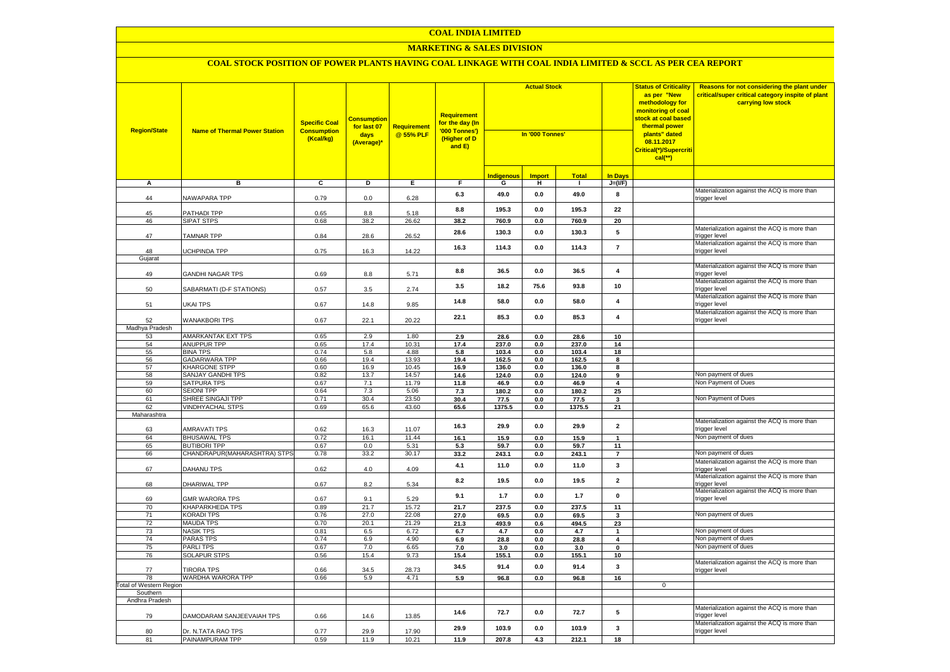#### **MARKETING & SALES DIVISION**

| <b>Region/State</b>     | <b>Name of Thermal Power Station</b>         | <b>Specific Coal</b><br><b>Consumption</b><br>(Kcal/kg) | <b>Consumption</b><br>for last 07<br>days<br>(Average)* | <b>Requirement</b><br>@ 55% PLF | Requirement<br>for the day (In<br>'000 Tonnes')<br>(Higher of D<br>and E) | <b>Actual Stock</b><br>In '000 Tonnes' |                |                |                         | <b>Status of Criticality</b><br>as per "New<br>methodology for<br>monitoring of coal<br><mark>stock at coal based</mark><br>thermal power<br>plants" dated<br>08.11.2017<br><mark>Critical(*)/Supercriti</mark><br>$cal$ (**) | Reasons for not considering the plant under<br>critical/super critical category inspite of plant<br>carrying low stock |
|-------------------------|----------------------------------------------|---------------------------------------------------------|---------------------------------------------------------|---------------------------------|---------------------------------------------------------------------------|----------------------------------------|----------------|----------------|-------------------------|-------------------------------------------------------------------------------------------------------------------------------------------------------------------------------------------------------------------------------|------------------------------------------------------------------------------------------------------------------------|
|                         |                                              |                                                         |                                                         |                                 |                                                                           | <b>Indigenous</b>                      | <b>Import</b>  | <b>Total</b>   | <b>In Davs</b>          |                                                                                                                                                                                                                               |                                                                                                                        |
| А                       | в                                            | c                                                       | Þ                                                       | E                               | F                                                                         | G                                      | н              | $\mathbf{I}$   | $J=(VF)$                |                                                                                                                                                                                                                               |                                                                                                                        |
| 44                      | NAWAPARA TPP                                 | 0.79                                                    | 0.0                                                     | 6.28                            | 6.3                                                                       | 49.0                                   | $\mathbf{0.0}$ | 49.0           | 8                       |                                                                                                                                                                                                                               | Materialization against the ACQ is more than<br>trigger level                                                          |
| 45                      | PATHADI TPP                                  | 0.65                                                    | 8.8                                                     | 5.18                            | 8.8                                                                       | 195.3                                  | 0.0            | 195.3          | 22                      |                                                                                                                                                                                                                               |                                                                                                                        |
| 46                      | <b>SIPAT STPS</b>                            | 0.68                                                    | 38.2                                                    | 26.62                           | 38.2                                                                      | 760.9                                  | 0.0            | 760.9          | 20                      |                                                                                                                                                                                                                               |                                                                                                                        |
| 47                      | <b>TAMNAR TPP</b>                            | 0.84                                                    | 28.6                                                    | 26.52                           | 28.6                                                                      | 130.3                                  | $\mathbf{0.0}$ | 130.3          | 5                       |                                                                                                                                                                                                                               | Materialization against the ACQ is more than<br>trigger level                                                          |
| 48                      | UCHPINDA TPP                                 | 0.75                                                    | 16.3                                                    | 14.22                           | 16.3                                                                      | 114.3                                  | 0.0            | 114.3          | $\overline{7}$          |                                                                                                                                                                                                                               | Materialization against the ACQ is more than<br>trigger level                                                          |
| Gujarat                 |                                              |                                                         |                                                         |                                 |                                                                           |                                        |                |                |                         |                                                                                                                                                                                                                               | Materialization against the ACQ is more than                                                                           |
| 49                      | GANDHI NAGAR TPS                             | 0.69                                                    | $8.8\,$                                                 | 5.71                            | 8.8                                                                       | 36.5                                   | $\mathbf{0.0}$ | 36.5           | $\overline{\mathbf{4}}$ |                                                                                                                                                                                                                               | trigger level                                                                                                          |
| 50                      | SABARMATI (D-F STATIONS)                     | 0.57                                                    | 3.5                                                     | 2.74                            | 3.5                                                                       | 18.2                                   | 75.6           | 93.8           | 10                      |                                                                                                                                                                                                                               | Materialization against the ACQ is more than<br>trigger level                                                          |
| 51                      | UKAI TPS                                     | 0.67                                                    | 14.8                                                    | 9.85                            | 14.8                                                                      | 58.0                                   | 0.0            | 58.0           | 4                       |                                                                                                                                                                                                                               | Materialization against the ACQ is more than<br>trigger level                                                          |
| 52                      | <b>WANAKBORI TPS</b>                         | 0.67                                                    | 22.1                                                    | 20.22                           | 22.1                                                                      | 85.3                                   | 0.0            | 85.3           | $\overline{\mathbf{4}}$ |                                                                                                                                                                                                                               | Materialization against the ACQ is more than<br>trigger level                                                          |
| Madhya Pradesh          |                                              |                                                         |                                                         |                                 |                                                                           |                                        |                |                |                         |                                                                                                                                                                                                                               |                                                                                                                        |
| 53                      | <b>AMARKANTAK EXT TPS</b>                    | 0.65                                                    | 2.9                                                     | 1.80                            | 2.9                                                                       | 28.6                                   | 0.0            | 28.6           | 10                      |                                                                                                                                                                                                                               |                                                                                                                        |
| 54                      | ANUPPUR TPP                                  | 0.65                                                    | 17.4                                                    | 10.31                           | 17.4                                                                      | 237.0                                  | 0.0            | 237.0          | 14                      |                                                                                                                                                                                                                               |                                                                                                                        |
| 55                      | <b>BINA TPS</b>                              | 0.74                                                    | 5.8                                                     | 4.88                            | 5.8                                                                       | 103.4                                  | 0.0            | 103.4          | 18                      |                                                                                                                                                                                                                               |                                                                                                                        |
| 56<br>57                | <b>GADARWARA TPP</b><br><b>KHARGONE STPP</b> | 0.66<br>0.60                                            | 19.4<br>16.9                                            | 13.93<br>10.45                  | 19.4<br>16.9                                                              | 162.5<br>136.0                         | 0.0<br>0.0     | 162.5<br>136.0 | 8<br>8                  |                                                                                                                                                                                                                               |                                                                                                                        |
| 58                      | <b>SANJAY GANDHI TPS</b>                     | 0.82                                                    | 13.7                                                    | 14.57                           | 14.6                                                                      | 124.0                                  | 0.0            | 124.0          | 9                       |                                                                                                                                                                                                                               | Non payment of dues                                                                                                    |
| 59                      | <b>SATPURA TPS</b>                           | 0.67                                                    | 7.1                                                     | 11.79                           | 11.8                                                                      | 46.9                                   | 0.0            | 46.9           | $\overline{\mathbf{4}}$ |                                                                                                                                                                                                                               | Non Payment of Dues                                                                                                    |
| 60                      | <b>SEIONI TPP</b>                            | 0.64                                                    | 7.3                                                     | 5.06                            | 7.3                                                                       | 180.2                                  | 0.0            | 180.2          | 25                      |                                                                                                                                                                                                                               |                                                                                                                        |
| 61                      | SHREE SINGAJI TPP                            | 0.71                                                    | 30.4                                                    | 23.50                           | 30.4                                                                      | 77.5                                   | 0.0            | 77.5           | 3                       |                                                                                                                                                                                                                               | Non Payment of Dues                                                                                                    |
| 62                      | <b>VINDHYACHAL STPS</b>                      | 0.69                                                    | 65.6                                                    | 43.60                           | 65.6                                                                      | 1375.5                                 | 0.0            | 1375.5         | 21                      |                                                                                                                                                                                                                               |                                                                                                                        |
| Maharashtra             |                                              |                                                         |                                                         |                                 |                                                                           |                                        |                |                |                         |                                                                                                                                                                                                                               |                                                                                                                        |
| 63                      | <b>AMRAVATI TPS</b>                          | 0.62                                                    | 16.3                                                    | 11.07                           | 16.3                                                                      | 29.9                                   | $\mathbf{0.0}$ | 29.9           | $\overline{\mathbf{2}}$ |                                                                                                                                                                                                                               | Materialization against the ACQ is more than<br>trigger level                                                          |
| 64                      | <b>BHUSAWAL TPS</b>                          | 0.72                                                    | 16.1                                                    | 11.44                           | 16.1                                                                      | 15.9                                   | 0.0            | 15.9           | $\mathbf{1}$            |                                                                                                                                                                                                                               | Non payment of dues                                                                                                    |
| 65                      | <b>BUTIBORI TPP</b>                          | 0.67                                                    | 0.0                                                     | 5.31                            | 5.3                                                                       | 59.7                                   | 0.0            | 59.7           | 11                      |                                                                                                                                                                                                                               |                                                                                                                        |
| 66                      | CHANDRAPUR(MAHARASHTRA) STPS                 | 0.78                                                    | 33.2                                                    | 30.17                           | 33.2                                                                      | 243.1                                  | 0.0            | 243.1          | $\overline{7}$          |                                                                                                                                                                                                                               | Non payment of dues                                                                                                    |
| 67                      | DAHANU TPS                                   | 0.62                                                    | 4.0                                                     | 4.09                            | 4.1                                                                       | 11.0                                   | 0.0            | 11.0           | $\mathbf{3}$            |                                                                                                                                                                                                                               | Materialization against the ACQ is more than<br>trigger level                                                          |
| 68                      | DHARIWAL TPP                                 | 0.67                                                    | 8.2                                                     | 5.34                            | 8.2                                                                       | 19.5                                   | 0.0            | 19.5           | $\overline{2}$          |                                                                                                                                                                                                                               | Materialization against the ACQ is more than<br>trigger level                                                          |
| 69                      | <b>GMR WARORA TPS</b>                        | 0.67                                                    | 9.1                                                     | 5.29                            | 9.1                                                                       | 1.7                                    | 0.0            | 1.7            | 0                       |                                                                                                                                                                                                                               | Materialization against the ACQ is more than<br>trigger level                                                          |
| 70                      | <b>KHAPARKHEDA TPS</b>                       | 0.89                                                    | 21.7                                                    | 15.72                           | 21.7                                                                      | 237.5                                  | 0.0            | 237.5          | 11                      |                                                                                                                                                                                                                               |                                                                                                                        |
| 71<br>72                | <b>KORADI TPS</b><br><b>MAUDA TPS</b>        | 0.76<br>0.70                                            | 27.0<br>20.1                                            | 22.08<br>21.29                  | 27.0<br>21.3                                                              | 69.5<br>493.9                          | 0.0<br>0.6     | 69.5<br>494.5  | $\mathbf{3}$<br>23      |                                                                                                                                                                                                                               | Non payment of dues                                                                                                    |
| 73                      | <b>NASIK TPS</b>                             | 0.81                                                    | 6.5                                                     | 6.72                            | 6.7                                                                       | 4.7                                    | $\mathbf{0.0}$ | 4.7            | $\mathbf{1}$            |                                                                                                                                                                                                                               | Non payment of dues                                                                                                    |
| 74                      | <b>PARAS TPS</b>                             | 0.74                                                    | 6.9                                                     | 4.90                            | 6.9                                                                       | 28.8                                   | 0.0            | 28.8           | $\overline{4}$          |                                                                                                                                                                                                                               | Non payment of dues                                                                                                    |
| 75                      | <b>PARLITPS</b>                              | 0.67                                                    | 7.0                                                     | 6.65                            | 7.0                                                                       | 3.0                                    | 0.0            | 3.0            | 0                       |                                                                                                                                                                                                                               | Non payment of dues                                                                                                    |
| 76                      | <b>SOLAPUR STPS</b>                          | 0.56                                                    | 15.4                                                    | 9.73                            | 15.4                                                                      | 155.1                                  | 0.0            | 155.1          | 10                      |                                                                                                                                                                                                                               |                                                                                                                        |
| 77                      | <b>TIRORA TPS</b>                            | 0.66                                                    | 34.5                                                    | 28.73                           | 34.5                                                                      | 91.4                                   | 0.0            | 91.4           | 3                       |                                                                                                                                                                                                                               | Materialization against the ACQ is more than<br>trigger level                                                          |
| 78                      | WARDHA WARORA TPP                            | 0.66                                                    | 5.9                                                     | 4.71                            | 5.9                                                                       | 96.8                                   | 0.0            | 96.8           | 16                      |                                                                                                                                                                                                                               |                                                                                                                        |
| Total of Western Region |                                              |                                                         |                                                         |                                 |                                                                           |                                        |                |                |                         | $\mathbf{0}$                                                                                                                                                                                                                  |                                                                                                                        |
| Southern                |                                              |                                                         |                                                         |                                 |                                                                           |                                        |                |                |                         |                                                                                                                                                                                                                               |                                                                                                                        |
| Andhra Pradesh          |                                              |                                                         |                                                         |                                 |                                                                           |                                        |                |                |                         |                                                                                                                                                                                                                               | Materialization against the ACQ is more than                                                                           |
| 79                      | DAMODARAM SANJEEVAIAH TPS                    | 0.66                                                    | 14.6                                                    | 13.85                           | 14.6                                                                      | 72.7                                   | $\mathbf{0.0}$ | 72.7           | ${\bf 5}$               |                                                                                                                                                                                                                               | trigger level                                                                                                          |
| 80                      | Dr. N.TATA RAO TPS                           | 0.77                                                    | 29.9                                                    | 17.90                           | 29.9                                                                      | 103.9                                  | 0.0            | 103.9          | 3                       |                                                                                                                                                                                                                               | Materialization against the ACQ is more than<br>trigger level                                                          |
| 81                      | PAINAMPURAM TPP                              | 0.59                                                    | 11.9                                                    | 10.21                           | 11.9                                                                      | 207.8                                  | 4.3            | 212.1          | 18                      |                                                                                                                                                                                                                               |                                                                                                                        |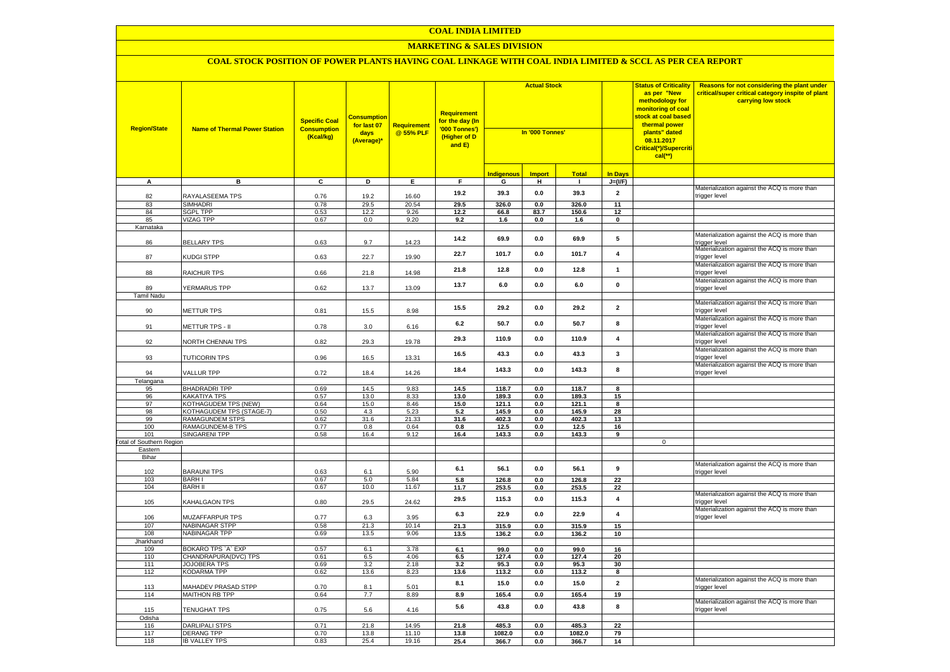#### **MARKETING & SALES DIVISION**

| <b>Region/State</b>             | <b>Name of Thermal Power Station</b>            | <b>Specific Coal</b><br><b>Consumption</b><br>(Kcal/kg) | <b>Consumption</b><br>for last 07<br>days<br>(Average)* | <b>Requirement</b><br>@ 55% PLF | Requirement<br>for the day (In<br>'000 Tonnes')<br>(Higher of D<br>and E) | <b>Actual Stock</b><br>In '000 Tonnes' |               |                |                         | <b>Status of Criticality</b><br>as per "New<br>methodology for<br>monitoring of coal<br><mark>stock at coal based</mark><br>thermal power<br>plants" dated<br>08.11.2017<br>Critical(*)/Supercriti<br>$cal$ (**) | Reasons for not considering the plant under<br>critical/super critical category inspite of plant<br>carrying low stock |
|---------------------------------|-------------------------------------------------|---------------------------------------------------------|---------------------------------------------------------|---------------------------------|---------------------------------------------------------------------------|----------------------------------------|---------------|----------------|-------------------------|------------------------------------------------------------------------------------------------------------------------------------------------------------------------------------------------------------------|------------------------------------------------------------------------------------------------------------------------|
|                                 |                                                 |                                                         |                                                         |                                 |                                                                           | <b>Indigenous</b>                      | <b>Import</b> | <b>Total</b>   | <b>In Days</b>          |                                                                                                                                                                                                                  |                                                                                                                        |
| A                               | в                                               | C                                                       | D                                                       | Е.                              | F.                                                                        | G                                      | н             | $\mathbf{I}$   | $J=(VF)$                |                                                                                                                                                                                                                  |                                                                                                                        |
| 82                              | RAYALASEEMA TPS                                 | 0.76                                                    | 19.2                                                    | 16.60                           | 19.2                                                                      | 39.3                                   | 0.0           | 39.3           | $\overline{2}$          |                                                                                                                                                                                                                  | Materialization against the ACQ is more than<br>trigger level                                                          |
| 83                              | <b>SIMHADRI</b>                                 | 0.78                                                    | 29.5                                                    | 20.54                           | 29.5                                                                      | 326.0                                  | 0.0           | 326.0          | 11                      |                                                                                                                                                                                                                  |                                                                                                                        |
| 84                              | <b>SGPL TPP</b>                                 | 0.53                                                    | 12.2                                                    | 9.26                            | 12.2                                                                      | 66.8                                   | 83.7          | 150.6          | 12                      |                                                                                                                                                                                                                  |                                                                                                                        |
| 85                              | <b>VIZAG TPP</b>                                | 0.67                                                    | 0.0                                                     | 9.20                            | 9.2                                                                       | 1.6                                    | 0.0           | 1.6            | $\pmb{0}$               |                                                                                                                                                                                                                  |                                                                                                                        |
| Karnataka<br>86                 | <b>BELLARY TPS</b>                              | 0.63                                                    | 9.7                                                     | 14.23                           | 14.2                                                                      | 69.9                                   | 0.0           | 69.9           | 5                       |                                                                                                                                                                                                                  | Materialization against the ACQ is more than<br>trigger level                                                          |
| 87                              | KUDGI STPP                                      | 0.63                                                    | 22.7                                                    | 19.90                           | 22.7                                                                      | 101.7                                  | 0.0           | 101.7          | $\overline{4}$          |                                                                                                                                                                                                                  | Materialization against the ACQ is more than<br>trigger level                                                          |
| 88                              | RAICHUR TPS                                     | 0.66                                                    | 21.8                                                    | 14.98                           | 21.8                                                                      | 12.8                                   | 0.0           | 12.8           | $\mathbf{1}$            |                                                                                                                                                                                                                  | Materialization against the ACQ is more than<br>trigger level                                                          |
| 89                              | YERMARUS TPP                                    | 0.62                                                    | 13.7                                                    | 13.09                           | 13.7                                                                      | 6.0                                    | 0.0           | 6.0            | $\mathbf 0$             |                                                                                                                                                                                                                  | Materialization against the ACQ is more than<br>trigger level                                                          |
| <b>Tamil Nadu</b>               |                                                 |                                                         |                                                         |                                 |                                                                           |                                        |               |                |                         |                                                                                                                                                                                                                  | Materialization against the ACQ is more than                                                                           |
| 90                              | METTUR TPS                                      | 0.81                                                    | 15.5                                                    | 8.98                            | 15.5                                                                      | 29.2                                   | $0.0\,$       | 29.2           | $\overline{2}$          |                                                                                                                                                                                                                  | rigger level<br>Materialization against the ACQ is more than                                                           |
| 91                              | METTUR TPS - II                                 | 0.78                                                    | 3.0                                                     | 6.16                            | 6.2                                                                       | 50.7                                   | 0.0           | 50.7           | 8                       |                                                                                                                                                                                                                  | rigger level<br>Materialization against the ACQ is more than                                                           |
| 92                              | NORTH CHENNAI TPS                               | 0.82                                                    | 29.3                                                    | 19.78                           | 29.3                                                                      | 110.9                                  | 0.0           | 110.9          | $\overline{\mathbf{4}}$ |                                                                                                                                                                                                                  | rigger level<br>Materialization against the ACQ is more than                                                           |
| 93                              | <b>TUTICORIN TPS</b>                            | 0.96                                                    | 16.5                                                    | 13.31                           | 16.5                                                                      | 43.3                                   | 0.0           | 43.3           | $\mathbf{3}$            |                                                                                                                                                                                                                  | rigger level                                                                                                           |
| 94                              | VALLUR TPP                                      | 0.72                                                    | 18.4                                                    | 14.26                           | 18.4                                                                      | 143.3                                  | 0.0           | 143.3          | 8                       |                                                                                                                                                                                                                  | Materialization against the ACQ is more than<br>rigger level                                                           |
| Telangana                       |                                                 | 0.69                                                    |                                                         |                                 |                                                                           |                                        |               |                |                         |                                                                                                                                                                                                                  |                                                                                                                        |
| 95<br>96                        | <b>BHADRADRI TPP</b><br><b>KAKATIYA TPS</b>     | 0.57                                                    | 14.5<br>13.0                                            | 9.83<br>8.33                    | 14.5<br>13.0                                                              | 118.7<br>189.3                         | 0.0<br>0.0    | 118.7<br>189.3 | 8<br>15                 |                                                                                                                                                                                                                  |                                                                                                                        |
| 97                              | <b>KOTHAGUDEM TPS (NEW)</b>                     | 0.64                                                    | 15.0                                                    | 8.46                            | 15.0                                                                      | 121.1                                  | 0.0           | 121.1          | 8                       |                                                                                                                                                                                                                  |                                                                                                                        |
| 98                              | KOTHAGUDEM TPS (STAGE-7)                        | 0.50                                                    | 4.3                                                     | 5.23                            | 5.2                                                                       | 145.9                                  | 0.0           | 145.9          | 28                      |                                                                                                                                                                                                                  |                                                                                                                        |
| 99                              | RAMAGUNDEM STPS                                 | 0.62                                                    | 31.6                                                    | 21.33                           | 31.6                                                                      | 402.3                                  | $0.0\,$       | 402.3          | 13                      |                                                                                                                                                                                                                  |                                                                                                                        |
| 100                             | RAMAGUNDEM-B TPS                                | 0.77                                                    | 0.8                                                     | 0.64                            | 0.8                                                                       | 12.5                                   | $0.0\,$       | 12.5           | 16                      |                                                                                                                                                                                                                  |                                                                                                                        |
| 101                             | <b>SINGARENI TPP</b>                            | 0.58                                                    | 16.4                                                    | 9.12                            | 16.4                                                                      | 143.3                                  | 0.0           | 143.3          | 9                       |                                                                                                                                                                                                                  |                                                                                                                        |
| <b>Total of Southern Region</b> |                                                 |                                                         |                                                         |                                 |                                                                           |                                        |               |                |                         | $\mathsf 0$                                                                                                                                                                                                      |                                                                                                                        |
| Eastern                         |                                                 |                                                         |                                                         |                                 |                                                                           |                                        |               |                |                         |                                                                                                                                                                                                                  |                                                                                                                        |
| Bihar                           |                                                 |                                                         |                                                         |                                 |                                                                           |                                        |               |                |                         |                                                                                                                                                                                                                  | Materialization against the ACQ is more than                                                                           |
| 102                             | <b>BARAUNI TPS</b>                              | 0.63                                                    | 6.1                                                     | 5.90                            | 6.1                                                                       | 56.1                                   | 0.0           | 56.1           | $\boldsymbol{9}$        |                                                                                                                                                                                                                  | rigger level                                                                                                           |
| 103                             | <b>BARH I</b>                                   | 0.67                                                    | 5.0                                                     | 5.84                            | 5.8                                                                       | 126.8                                  | 0.0           | 126.8          | $\overline{22}$         |                                                                                                                                                                                                                  |                                                                                                                        |
| 104                             | <b>BARH II</b>                                  | 0.67                                                    | 10.0                                                    | 11.67                           | 11.7                                                                      | 253.5                                  | 0.0           | 253.5          | 22                      |                                                                                                                                                                                                                  | Materialization against the ACQ is more than                                                                           |
| 105                             | KAHALGAON TPS                                   | 0.80                                                    | 29.5                                                    | 24.62                           | 29.5                                                                      | 115.3                                  | 0.0           | 115.3          | $\overline{\mathbf{4}}$ |                                                                                                                                                                                                                  | rigger level<br>Materialization against the ACQ is more than                                                           |
| 106<br>107                      | <b>MUZAFFARPUR TPS</b><br><b>NABINAGAR STPP</b> | 0.77<br>0.58                                            | 6.3<br>21.3                                             | 3.95<br>10.14                   | 6.3<br>21.3                                                               | 22.9                                   | 0.0           | 22.9           | $\overline{\mathbf{4}}$ |                                                                                                                                                                                                                  | rigger level                                                                                                           |
| 108                             | <b>NABINAGAR TPP</b>                            | 0.69                                                    | 13.5                                                    | 9.06                            | 13.5                                                                      | 315.9<br>136.2                         | 0.0<br>0.0    | 315.9<br>136.2 | 15<br>10                |                                                                                                                                                                                                                  |                                                                                                                        |
| Jharkhand                       |                                                 |                                                         |                                                         |                                 |                                                                           |                                        |               |                |                         |                                                                                                                                                                                                                  |                                                                                                                        |
| 109                             | BOKARO TPS `A` EXP                              | 0.57                                                    | 6.1                                                     | 3.78                            | 6.1                                                                       | 99.0                                   | 0.0           | 99.0           | 16                      |                                                                                                                                                                                                                  |                                                                                                                        |
| 110                             | CHANDRAPURA(DVC) TPS                            | 0.61                                                    | 6.5                                                     | 4.06                            | 6.5                                                                       | 127.4                                  | 0.0           | 127.4          | 20                      |                                                                                                                                                                                                                  |                                                                                                                        |
| 111                             | <b>JOJOBERA TPS</b>                             | 0.69                                                    | 3.2                                                     | 2.18                            | 3.2                                                                       | 95.3                                   | 0.0           | 95.3           | 30                      |                                                                                                                                                                                                                  |                                                                                                                        |
| 112                             | <b>KODARMA TPP</b>                              | 0.62                                                    | 13.6                                                    | 8.23                            | 13.6                                                                      | 113.2                                  | 0.0           | 113.2          | 8                       |                                                                                                                                                                                                                  |                                                                                                                        |
| 113                             | MAHADEV PRASAD STPP                             | 0.70                                                    | 8.1                                                     | 5.01                            | 8.1                                                                       | 15.0                                   | 0.0           | 15.0           | $\overline{2}$          |                                                                                                                                                                                                                  | Materialization against the ACQ is more than<br>rigger level                                                           |
| 114                             | <b>MAITHON RB TPP</b>                           | 0.64                                                    | 7.7                                                     | 8.89                            | 8.9                                                                       | 165.4                                  | 0.0           | 165.4          | 19                      |                                                                                                                                                                                                                  | Materialization against the ACQ is more than                                                                           |
| 115                             | <b>TENUGHAT TPS</b>                             | 0.75                                                    | 5.6                                                     | 4.16                            | 5.6                                                                       | 43.8                                   | $0.0\,$       | 43.8           | 8                       |                                                                                                                                                                                                                  | rigger level                                                                                                           |
| Odisha<br>116                   | <b>DARLIPALI STPS</b>                           | 0.71                                                    | 21.8                                                    | 14.95                           | 21.8                                                                      | 485.3                                  | 0.0           | 485.3          | 22                      |                                                                                                                                                                                                                  |                                                                                                                        |
| 117                             | <b>DERANG TPP</b>                               | 0.70                                                    | 13.8                                                    | 11.10                           | 13.8                                                                      | 1082.0                                 | 0.0           | 1082.0         | 79                      |                                                                                                                                                                                                                  |                                                                                                                        |
| 118                             | <b>IB VALLEY TPS</b>                            | 0.83                                                    | 25.4                                                    | 19.16                           | 25.4                                                                      | 366.7                                  | 0.0           | 366.7          | 14                      |                                                                                                                                                                                                                  |                                                                                                                        |